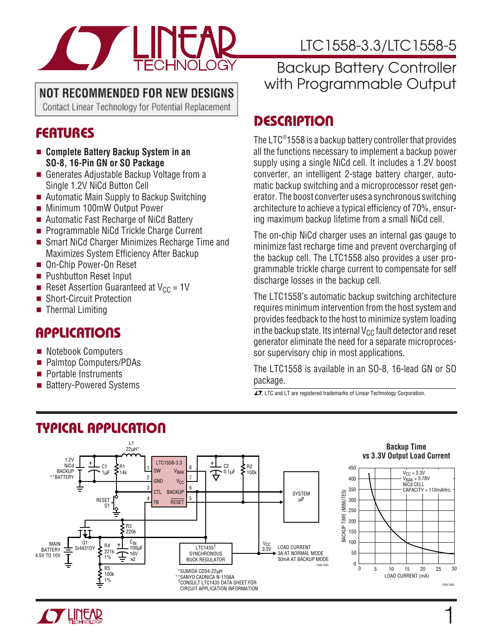

## NOT RECOMMENDED FOR NEW DESIGNS

Contact Linear Technology for Potential Replacement

## **FEATURES**

- **Complete Battery Backup System in an SO-8, 16-Pin GN or SO Package**
- Generates Adjustable Backup Voltage from a Single 1.2V NiCd Button Cell
- Automatic Main Supply to Backup Switching
- Minimum 100mW Output Power
- Automatic Fast Recharge of NiCd Battery
- Programmable NiCd Trickle Charge Current
- Smart NiCd Charger Minimizes Recharge Time and Maximizes System Efficiency After Backup
- On-Chip Power-On Reset
- Pushbutton Reset Input
- **Reset Assertion Guaranteed at V<sub>CC</sub> = 1V**
- Short-Circuit Protection
- Thermal Limiting

### **APPLICATIONS**  $\overline{\phantom{0}}$

- Notebook Computers
- Palmtop Computers/PDAs
- Portable Instruments
- **Battery-Powered Systems**

# LTC1558-3.3/LTC1558-5

## Backup Battery Controller with Programmable Output

# **DESCRIPTION U**

The LTC®1558 is a backup battery controller that provides all the functions necessary to implement a backup power supply using a single NiCd cell. It includes a 1.2V boost converter, an intelligent 2-stage battery charger, automatic backup switching and a microprocessor reset generator. The boost converter uses a synchronous switching architecture to achieve a typical efficiency of 70%, ensuring maximum backup lifetime from a small NiCd cell.

The on-chip NiCd charger uses an internal gas gauge to minimize fast recharge time and prevent overcharging of the backup cell. The LTC1558 also provides a user programmable trickle charge current to compensate for self discharge losses in the backup cell.

The LTC1558's automatic backup switching architecture requires minimum intervention from the host system and provides feedback to the host to minimize system loading in the backup state. Its internal  $V_{CC}$  fault detector and reset generator eliminate the need for a separate microprocessor supervisory chip in most applications.

The LTC1558 is available in an SO-8, 16-lead GN or SO package.

1

 $\sqrt{J}$ , LTC and LT are registered trademarks of Linear Technology Corporation.



# **TYPICAL APPLICATION U**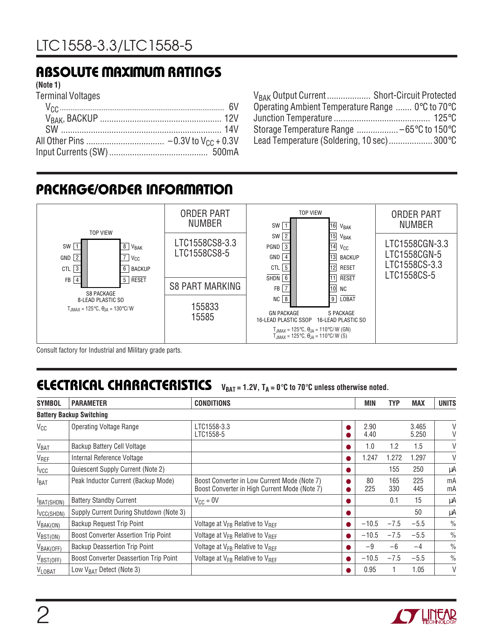## **ABSOLUTE MAXIMUM RATINGS W W W U**

#### **(Note 1)**

Terminal Voltages

| V <sub>BAK</sub> Output Current Short-Circuit Protected              |  |
|----------------------------------------------------------------------|--|
| Operating Ambient Temperature Range $0^{\circ}$ C to 70 $^{\circ}$ C |  |
|                                                                      |  |
|                                                                      |  |
| Lead Temperature (Soldering, 10 sec) 300°C                           |  |

## **PACKAGE/ORDER INFORMATION**



Consult factory for Industrial and Military grade parts.

## **ELECTRICAL CHARACTERISTICS**  $V_{BAT} = 1.2V$ ,  $T_A = 0^\circ C$  to 70 $^\circ C$  unless otherwise noted.

| <b>SYMBOL</b>               | <b>PARAMETER</b>                              | <b>CONDITIONS</b>                                                                             | MIN          | TYP        | <b>MAX</b>     | <b>UNITS</b>  |
|-----------------------------|-----------------------------------------------|-----------------------------------------------------------------------------------------------|--------------|------------|----------------|---------------|
|                             | <b>Battery Backup Switching</b>               |                                                                                               |              |            |                |               |
| $V_{CC}$                    | <b>Operating Voltage Range</b>                | LTC1558-3.3<br>LTC1558-5                                                                      | 2.90<br>4.40 |            | 3.465<br>5.250 | V<br>V        |
| <b>V<sub>BAT</sub></b>      | Backup Battery Cell Voltage                   |                                                                                               | 1.0          | 1.2        | 1.5            | V             |
| V <sub>REF</sub>            | Internal Reference Voltage                    |                                                                                               | 1.247        | 1.272      | 1.297          | V             |
| lycc                        | Quiescent Supply Current (Note 2)             |                                                                                               |              | 155        | 250            | μA            |
| <b>I</b> BAT                | Peak Inductor Current (Backup Mode)           | Boost Converter in Low Current Mode (Note 7)<br>Boost Converter in High Current Mode (Note 7) | 80<br>225    | 165<br>330 | 225<br>445     | mA<br>mA      |
| BAT(SHDN)                   | <b>Battery Standby Current</b>                | $V_{CC} = 0V$                                                                                 |              | 0.1        | 15             | μA            |
| I <sub>VCC</sub> (SHDN)     | Supply Current During Shutdown (Note 3)       |                                                                                               |              |            | 50             | μA            |
| $V_{BAK(ON)}$               | Backup Request Trip Point                     | Voltage at V <sub>FB</sub> Relative to V <sub>RFF</sub>                                       | $-10.5$      | $-7.5$     | $-5.5$         | $\frac{0}{0}$ |
| $V_{\text{BST}(\text{ON})}$ | <b>Boost Converter Assertion Trip Point</b>   | Voltage at $V_{FB}$ Relative to $V_{BFF}$                                                     | $-10.5$      | $-7.5$     | $-5.5$         | $\frac{0}{0}$ |
| $V_{BAK(OFF)}$              | <b>Backup Deassertion Trip Point</b>          | Voltage at V <sub>FB</sub> Relative to V <sub>REF</sub>                                       | $-9$         | $-6$       | $-4$           | $\frac{0}{0}$ |
| VBST <sub>(OFF)</sub>       | <b>Boost Converter Deassertion Trip Point</b> | Voltage at V <sub>FB</sub> Relative to V <sub>RFF</sub>                                       | $-10.5$      | $-7.5$     | $-5.5$         | $\frac{0}{0}$ |
| <b>VLOBAT</b>               | Low V <sub>BAT</sub> Detect (Note 3)          |                                                                                               | 0.95         |            | 1.05           | V             |

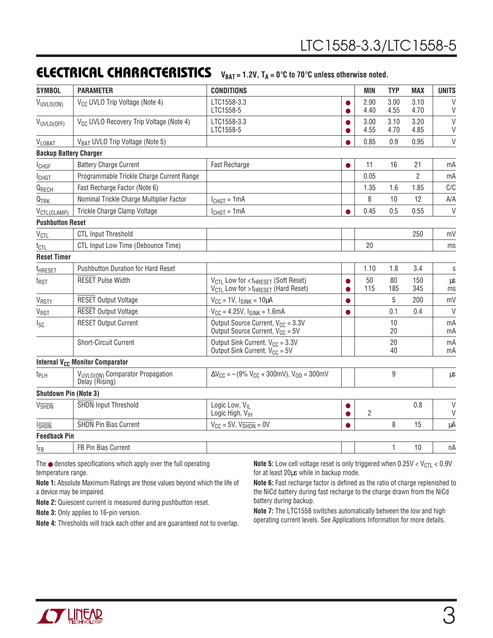## **ELECTRICAL CHARACTERISTICS**  $V_{BAT} = 1.2V$ ,  $T_A = 0^\circ \text{C}$  to 70 $^\circ \text{C}$  unless otherwise noted.

| V <sub>CC</sub> UVLO Trip Voltage (Note 4)<br>LTC1558-3.3<br>2.90<br>3.00<br>3.10<br>VUVLO(ON)<br>4.55<br>LTC1558-5<br>4.40<br>4.70<br>V <sub>CC</sub> UVLO Recovery Trip Voltage (Note 4)<br>LTC1558-3.3<br>3.00<br>3.10<br>3.20<br>VUVLO(OFF)<br>4.55<br>4.70<br>LTC1558-5<br>4.85<br>V <sub>BAT</sub> UVLO Trip Voltage (Note 5)<br>0.85<br>0.9<br>0.95<br>VLOBAT<br><b>Backup Battery Charger</b><br><b>Battery Charge Current</b><br>11<br>16<br>Fast Recharge<br>21<br><b>I</b> CHGF<br>Programmable Trickle Charge Current Range<br>0.05<br>$\overline{2}$<br><b>I</b> CHGT<br>Fast Recharge Factor (Note 6)<br>1.35<br>1.6<br>1.85<br>QRECH<br>8<br>Nominal Trickle Charge Multiplier Factor<br>10<br>12<br>$Q_{TRK}$<br>$I_{CHGT} = 1mA$<br>0.45<br>Trickle Charge Clamp Voltage<br>0.5<br>0.55<br>$I_{CHGT} = 1mA$<br>V <sub>CTL</sub> (CLAMP)<br><b>Pushbutton Reset</b><br><b>CTL Input Threshold</b><br>250<br>V <sub>CTL</sub><br>CTL Input Low Time (Debounce Time)<br>20<br>$t_{\text{CTL}}$<br><b>Reset Timer</b><br><b>Pushbutton Duration for Hard Reset</b><br>1.10<br>1.8<br>3.4<br><sup>t</sup> HRESET<br><b>RESET Pulse Width</b><br>50<br>80<br>V <sub>CTL</sub> Low for < t <sub>HRESET</sub> (Soft Reset)<br>150<br>t <sub>RST</sub><br>115<br>185<br>345<br>$V_{\text{CTL}}$ Low for > $t_{\text{HREF}}$ (Hard Reset)<br>5<br>200<br><b>RESET Output Voltage</b><br>V <sub>RST1</sub><br>$V_{CC} = 1V$ , $I_{SINK} = 10\mu A$<br>O<br><b>RESET Output Voltage</b><br>$V_{CC} = 4.25V$ , $I_{SINK} = 1.6mA$<br>0.1<br>V <sub>RST</sub><br>0.4<br>O<br>Output Source Current, $V_{CC} = 3.3V$<br><b>RESET Output Current</b><br>10<br>$I_{SC}$<br>Output Source Current, V <sub>CC</sub> = 5V<br>20<br>Output Sink Current, $V_{CC} = 3.3V$<br><b>Short-Circuit Current</b><br>20<br>Output Sink Current, $V_{CC} = 5V$<br>40<br><b>Internal V<sub>CC</sub> Monitor Comparator</b><br>9<br>VUVLO(ON) Comparator Propagation<br>$\Delta V_{\text{CC}} = -(9\% V_{\text{CC}} + 300 \text{mV})$ , $V_{\text{OD}} = 300 \text{mV}$<br>t <sub>PLH</sub><br>Delay (Rising)<br><b>Shutdown Pin (Note 3)</b><br><b>SHDN</b> Input Threshold<br>Logic Low, V <sub>II</sub><br>0.8<br><b>V<sub>SHDN</sub></b><br>0<br>$\overline{2}$<br>Logic High, V <sub>IH</sub><br>SHDN Pin Bias Current<br>8<br>15<br>$V_{CC}$ = 5V, $V_{\overline{SHDN}}$ = 0V<br>$l$ <sub>SHDN</sub><br><b>Feedback Pin</b> | <b>SYMBOL</b> | <b>PARAMETER</b>    | <b>CONDITIONS</b> | <b>MIN</b> | <b>TYP</b> | <b>MAX</b> | <b>UNITS</b> |
|-------------------------------------------------------------------------------------------------------------------------------------------------------------------------------------------------------------------------------------------------------------------------------------------------------------------------------------------------------------------------------------------------------------------------------------------------------------------------------------------------------------------------------------------------------------------------------------------------------------------------------------------------------------------------------------------------------------------------------------------------------------------------------------------------------------------------------------------------------------------------------------------------------------------------------------------------------------------------------------------------------------------------------------------------------------------------------------------------------------------------------------------------------------------------------------------------------------------------------------------------------------------------------------------------------------------------------------------------------------------------------------------------------------------------------------------------------------------------------------------------------------------------------------------------------------------------------------------------------------------------------------------------------------------------------------------------------------------------------------------------------------------------------------------------------------------------------------------------------------------------------------------------------------------------------------------------------------------------------------------------------------------------------------------------------------------------------------------------------------------------------------------------------------------------------------------------------------------------------------------------------------------------------------------------------------------------------------------------------------------------------------------------------------------|---------------|---------------------|-------------------|------------|------------|------------|--------------|
|                                                                                                                                                                                                                                                                                                                                                                                                                                                                                                                                                                                                                                                                                                                                                                                                                                                                                                                                                                                                                                                                                                                                                                                                                                                                                                                                                                                                                                                                                                                                                                                                                                                                                                                                                                                                                                                                                                                                                                                                                                                                                                                                                                                                                                                                                                                                                                                                                   |               |                     |                   |            |            |            | $\vee$<br>V  |
|                                                                                                                                                                                                                                                                                                                                                                                                                                                                                                                                                                                                                                                                                                                                                                                                                                                                                                                                                                                                                                                                                                                                                                                                                                                                                                                                                                                                                                                                                                                                                                                                                                                                                                                                                                                                                                                                                                                                                                                                                                                                                                                                                                                                                                                                                                                                                                                                                   |               |                     |                   |            |            |            | $\vee$<br>V  |
|                                                                                                                                                                                                                                                                                                                                                                                                                                                                                                                                                                                                                                                                                                                                                                                                                                                                                                                                                                                                                                                                                                                                                                                                                                                                                                                                                                                                                                                                                                                                                                                                                                                                                                                                                                                                                                                                                                                                                                                                                                                                                                                                                                                                                                                                                                                                                                                                                   |               |                     |                   |            |            |            | V            |
|                                                                                                                                                                                                                                                                                                                                                                                                                                                                                                                                                                                                                                                                                                                                                                                                                                                                                                                                                                                                                                                                                                                                                                                                                                                                                                                                                                                                                                                                                                                                                                                                                                                                                                                                                                                                                                                                                                                                                                                                                                                                                                                                                                                                                                                                                                                                                                                                                   |               |                     |                   |            |            |            |              |
|                                                                                                                                                                                                                                                                                                                                                                                                                                                                                                                                                                                                                                                                                                                                                                                                                                                                                                                                                                                                                                                                                                                                                                                                                                                                                                                                                                                                                                                                                                                                                                                                                                                                                                                                                                                                                                                                                                                                                                                                                                                                                                                                                                                                                                                                                                                                                                                                                   |               |                     |                   |            |            |            | mA           |
|                                                                                                                                                                                                                                                                                                                                                                                                                                                                                                                                                                                                                                                                                                                                                                                                                                                                                                                                                                                                                                                                                                                                                                                                                                                                                                                                                                                                                                                                                                                                                                                                                                                                                                                                                                                                                                                                                                                                                                                                                                                                                                                                                                                                                                                                                                                                                                                                                   |               |                     |                   |            |            |            | mA           |
|                                                                                                                                                                                                                                                                                                                                                                                                                                                                                                                                                                                                                                                                                                                                                                                                                                                                                                                                                                                                                                                                                                                                                                                                                                                                                                                                                                                                                                                                                                                                                                                                                                                                                                                                                                                                                                                                                                                                                                                                                                                                                                                                                                                                                                                                                                                                                                                                                   |               |                     |                   |            |            |            | C/C          |
|                                                                                                                                                                                                                                                                                                                                                                                                                                                                                                                                                                                                                                                                                                                                                                                                                                                                                                                                                                                                                                                                                                                                                                                                                                                                                                                                                                                                                                                                                                                                                                                                                                                                                                                                                                                                                                                                                                                                                                                                                                                                                                                                                                                                                                                                                                                                                                                                                   |               |                     |                   |            |            |            | A/A          |
|                                                                                                                                                                                                                                                                                                                                                                                                                                                                                                                                                                                                                                                                                                                                                                                                                                                                                                                                                                                                                                                                                                                                                                                                                                                                                                                                                                                                                                                                                                                                                                                                                                                                                                                                                                                                                                                                                                                                                                                                                                                                                                                                                                                                                                                                                                                                                                                                                   |               |                     |                   |            |            |            | $\mathsf{V}$ |
|                                                                                                                                                                                                                                                                                                                                                                                                                                                                                                                                                                                                                                                                                                                                                                                                                                                                                                                                                                                                                                                                                                                                                                                                                                                                                                                                                                                                                                                                                                                                                                                                                                                                                                                                                                                                                                                                                                                                                                                                                                                                                                                                                                                                                                                                                                                                                                                                                   |               |                     |                   |            |            |            |              |
|                                                                                                                                                                                                                                                                                                                                                                                                                                                                                                                                                                                                                                                                                                                                                                                                                                                                                                                                                                                                                                                                                                                                                                                                                                                                                                                                                                                                                                                                                                                                                                                                                                                                                                                                                                                                                                                                                                                                                                                                                                                                                                                                                                                                                                                                                                                                                                                                                   |               |                     |                   |            |            |            | mV           |
|                                                                                                                                                                                                                                                                                                                                                                                                                                                                                                                                                                                                                                                                                                                                                                                                                                                                                                                                                                                                                                                                                                                                                                                                                                                                                                                                                                                                                                                                                                                                                                                                                                                                                                                                                                                                                                                                                                                                                                                                                                                                                                                                                                                                                                                                                                                                                                                                                   |               |                     |                   |            |            |            | ms           |
|                                                                                                                                                                                                                                                                                                                                                                                                                                                                                                                                                                                                                                                                                                                                                                                                                                                                                                                                                                                                                                                                                                                                                                                                                                                                                                                                                                                                                                                                                                                                                                                                                                                                                                                                                                                                                                                                                                                                                                                                                                                                                                                                                                                                                                                                                                                                                                                                                   |               |                     |                   |            |            |            |              |
|                                                                                                                                                                                                                                                                                                                                                                                                                                                                                                                                                                                                                                                                                                                                                                                                                                                                                                                                                                                                                                                                                                                                                                                                                                                                                                                                                                                                                                                                                                                                                                                                                                                                                                                                                                                                                                                                                                                                                                                                                                                                                                                                                                                                                                                                                                                                                                                                                   |               |                     |                   |            |            |            | S            |
|                                                                                                                                                                                                                                                                                                                                                                                                                                                                                                                                                                                                                                                                                                                                                                                                                                                                                                                                                                                                                                                                                                                                                                                                                                                                                                                                                                                                                                                                                                                                                                                                                                                                                                                                                                                                                                                                                                                                                                                                                                                                                                                                                                                                                                                                                                                                                                                                                   |               |                     |                   |            |            |            | μS<br>ms     |
|                                                                                                                                                                                                                                                                                                                                                                                                                                                                                                                                                                                                                                                                                                                                                                                                                                                                                                                                                                                                                                                                                                                                                                                                                                                                                                                                                                                                                                                                                                                                                                                                                                                                                                                                                                                                                                                                                                                                                                                                                                                                                                                                                                                                                                                                                                                                                                                                                   |               |                     |                   |            |            |            | mV           |
|                                                                                                                                                                                                                                                                                                                                                                                                                                                                                                                                                                                                                                                                                                                                                                                                                                                                                                                                                                                                                                                                                                                                                                                                                                                                                                                                                                                                                                                                                                                                                                                                                                                                                                                                                                                                                                                                                                                                                                                                                                                                                                                                                                                                                                                                                                                                                                                                                   |               |                     |                   |            |            |            | $\vee$       |
|                                                                                                                                                                                                                                                                                                                                                                                                                                                                                                                                                                                                                                                                                                                                                                                                                                                                                                                                                                                                                                                                                                                                                                                                                                                                                                                                                                                                                                                                                                                                                                                                                                                                                                                                                                                                                                                                                                                                                                                                                                                                                                                                                                                                                                                                                                                                                                                                                   |               |                     |                   |            |            |            | mA<br>mA     |
|                                                                                                                                                                                                                                                                                                                                                                                                                                                                                                                                                                                                                                                                                                                                                                                                                                                                                                                                                                                                                                                                                                                                                                                                                                                                                                                                                                                                                                                                                                                                                                                                                                                                                                                                                                                                                                                                                                                                                                                                                                                                                                                                                                                                                                                                                                                                                                                                                   |               |                     |                   |            |            |            | mA<br>mA     |
|                                                                                                                                                                                                                                                                                                                                                                                                                                                                                                                                                                                                                                                                                                                                                                                                                                                                                                                                                                                                                                                                                                                                                                                                                                                                                                                                                                                                                                                                                                                                                                                                                                                                                                                                                                                                                                                                                                                                                                                                                                                                                                                                                                                                                                                                                                                                                                                                                   |               |                     |                   |            |            |            |              |
|                                                                                                                                                                                                                                                                                                                                                                                                                                                                                                                                                                                                                                                                                                                                                                                                                                                                                                                                                                                                                                                                                                                                                                                                                                                                                                                                                                                                                                                                                                                                                                                                                                                                                                                                                                                                                                                                                                                                                                                                                                                                                                                                                                                                                                                                                                                                                                                                                   |               |                     |                   |            |            |            | μs           |
|                                                                                                                                                                                                                                                                                                                                                                                                                                                                                                                                                                                                                                                                                                                                                                                                                                                                                                                                                                                                                                                                                                                                                                                                                                                                                                                                                                                                                                                                                                                                                                                                                                                                                                                                                                                                                                                                                                                                                                                                                                                                                                                                                                                                                                                                                                                                                                                                                   |               |                     |                   |            |            |            |              |
|                                                                                                                                                                                                                                                                                                                                                                                                                                                                                                                                                                                                                                                                                                                                                                                                                                                                                                                                                                                                                                                                                                                                                                                                                                                                                                                                                                                                                                                                                                                                                                                                                                                                                                                                                                                                                                                                                                                                                                                                                                                                                                                                                                                                                                                                                                                                                                                                                   |               |                     |                   |            |            |            | V<br>$\vee$  |
|                                                                                                                                                                                                                                                                                                                                                                                                                                                                                                                                                                                                                                                                                                                                                                                                                                                                                                                                                                                                                                                                                                                                                                                                                                                                                                                                                                                                                                                                                                                                                                                                                                                                                                                                                                                                                                                                                                                                                                                                                                                                                                                                                                                                                                                                                                                                                                                                                   |               |                     |                   |            |            |            | μA           |
|                                                                                                                                                                                                                                                                                                                                                                                                                                                                                                                                                                                                                                                                                                                                                                                                                                                                                                                                                                                                                                                                                                                                                                                                                                                                                                                                                                                                                                                                                                                                                                                                                                                                                                                                                                                                                                                                                                                                                                                                                                                                                                                                                                                                                                                                                                                                                                                                                   |               |                     |                   |            |            |            |              |
|                                                                                                                                                                                                                                                                                                                                                                                                                                                                                                                                                                                                                                                                                                                                                                                                                                                                                                                                                                                                                                                                                                                                                                                                                                                                                                                                                                                                                                                                                                                                                                                                                                                                                                                                                                                                                                                                                                                                                                                                                                                                                                                                                                                                                                                                                                                                                                                                                   | $I_{FB}$      | FB Pin Bias Current |                   |            | 1          | 10         | nA           |

The ● denotes specifications which apply over the full operating temperature range.

**Note 1:** Absolute Maximum Ratings are those values beyond which the life of a device may be impaired.

**Note 2:** Quiescent current is measured during pushbutton reset.

**Note 3:** Only applies to 16-pin version.

**Note 4:** Thresholds will track each other and are guaranteed not to overlap.

**Note 5:** Low cell voltage reset is only triggered when  $0.25V < V_{\text{CTL}} < 0.9V$ for at least 20µs while in backup mode.

**Note 6:** Fast recharge factor is defined as the ratio of charge replenished to the NiCd battery during fast recharge to the charge drawn from the NiCd battery during backup.

**Note 7:** The LTC1558 switches automatically between the low and high operating current levels. See Applications Information for more details.

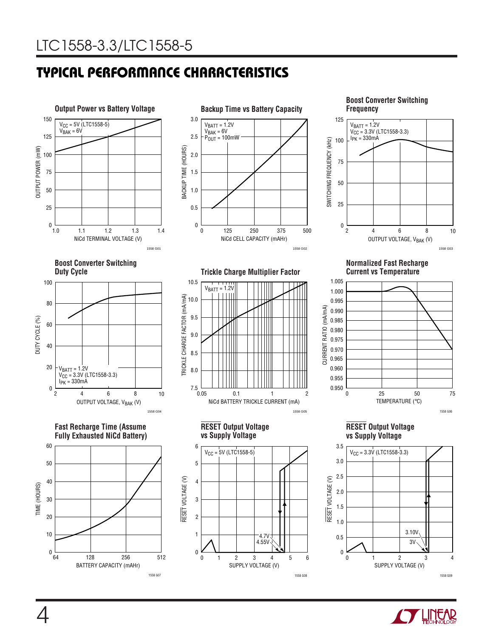# **TYPICAL PERFORMANCE CHARACTERISTICS U W**





10

75

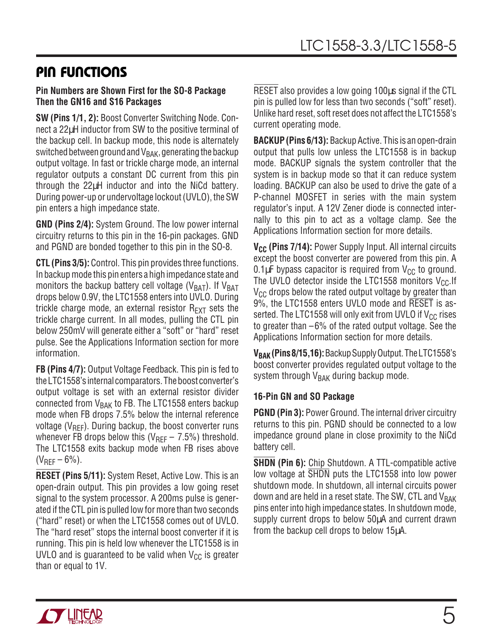## **PIN FUNCTIONS**

#### **Pin Numbers are Shown First for the SO-8 Package Then the GN16 and S16 Packages**

**SW (Pins 1/1, 2):** Boost Converter Switching Node. Connect a 22µH inductor from SW to the positive terminal of the backup cell. In backup mode, this node is alternately switched between ground and  $V_{BAK}$ , generating the backup output voltage. In fast or trickle charge mode, an internal regulator outputs a constant DC current from this pin through the 22µH inductor and into the NiCd battery. During power-up or undervoltage lockout (UVLO), the SW pin enters a high impedance state.

**GND (Pins 2/4):** System Ground. The low power internal circuitry returns to this pin in the 16-pin packages. GND and PGND are bonded together to this pin in the SO-8.

**CTL (Pins 3/5):** Control. This pin provides three functions. In backup mode this pin enters a high impedance state and monitors the backup battery cell voltage ( $V_{BAT}$ ). If  $V_{BAT}$ drops below 0.9V, the LTC1558 enters into UVLO. During trickle charge mode, an external resistor  $R_{\text{EXT}}$  sets the trickle charge current. In all modes, pulling the CTL pin below 250mV will generate either a "soft" or "hard" reset pulse. See the Applications Information section for more information.

**FB (Pins 4/7):** Output Voltage Feedback. This pin is fed to the LTC1558's internal comparators. The boost converter's output voltage is set with an external resistor divider connected from  $V_{\text{BAK}}$  to FB. The LTC1558 enters backup mode when FB drops 7.5% below the internal reference voltage ( $V_{\text{RFF}}$ ). During backup, the boost converter runs whenever FB drops below this ( $V_{RFF}$  – 7.5%) threshold. The LTC1558 exits backup mode when FB rises above  $(V_{REF}-6%).$ 

**RESET (Pins 5/11):** System Reset, Active Low. This is an open-drain output. This pin provides a low going reset signal to the system processor. A 200ms pulse is generated if the CTL pin is pulled low for more than two seconds ("hard" reset) or when the LTC1558 comes out of UVLO. The "hard reset" stops the internal boost converter if it is running. This pin is held low whenever the LTC1558 is in UVLO and is guaranteed to be valid when  $V_{CC}$  is greater than or equal to 1V.

RESET also provides a low going 100µs signal if the CTL pin is pulled low for less than two seconds ("soft" reset). Unlike hard reset, soft reset does not affect the LTC1558's current operating mode.

**BACKUP (Pins 6/13):** Backup Active. This is an open-drain output that pulls low unless the LTC1558 is in backup mode. BACKUP signals the system controller that the system is in backup mode so that it can reduce system loading. BACKUP can also be used to drive the gate of a P-channel MOSFET in series with the main system regulator's input. A 12V Zener diode is connected internally to this pin to act as a voltage clamp. See the Applications Information section for more details.

**V<sub>CC</sub>** (Pins 7/14): Power Supply Input. All internal circuits except the boost converter are powered from this pin. A 0.1 $\mu$ F bypass capacitor is required from V<sub>CC</sub> to ground. The UVLO detector inside the LTC1558 monitors  $V_{CC}$ . If  $V_{CC}$  drops below the rated output voltage by greater than 9%, the LTC1558 enters UVLO mode and RESET is asserted. The LTC1558 will only exit from UVLO if  $V_{CC}$  rises to greater than –6% of the rated output voltage. See the Applications Information section for more details.

**VBAK (Pins 8/15, 16):** Backup Supply Output. The LTC1558's boost converter provides regulated output voltage to the system through  $V_{\text{BAK}}$  during backup mode.

#### **16-Pin GN and SO Package**

**PGND (Pin 3):** Power Ground. The internal driver circuitry returns to this pin. PGND should be connected to a low impedance ground plane in close proximity to the NiCd battery cell.

**SHDN (Pin 6):** Chip Shutdown. A TTL-compatible active low voltage at SHDN puts the LTC1558 into low power shutdown mode. In shutdown, all internal circuits power down and are held in a reset state. The SW, CTL and  $V_{\text{BAK}}$ pins enter into high impedance states. In shutdown mode, supply current drops to below 50µA and current drawn from the backup cell drops to below 15µA.

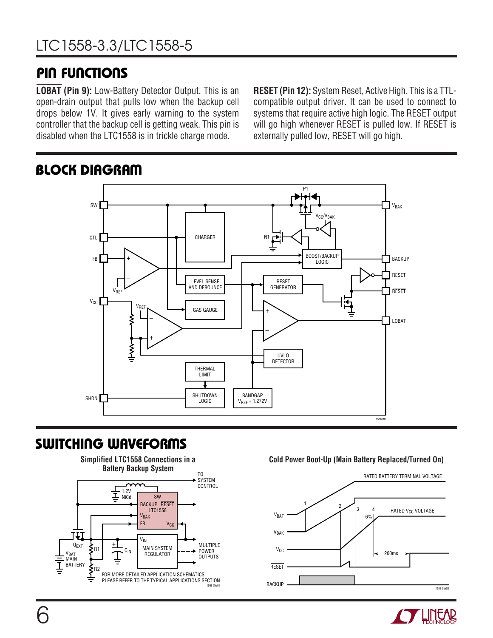## **PIN FUNCTIONS**

**LOBAT (Pin 9):** Low-Battery Detector Output. This is an open-drain output that pulls low when the backup cell drops below 1V. It gives early warning to the system controller that the backup cell is getting weak. This pin is disabled when the LTC1558 is in trickle charge mode.

**RESET (Pin 12):** System Reset, Active High. This is a TTLcompatible output driver. It can be used to connect to systems that require active high logic. The RESET output will go high whenever RESET is pulled low. If RESET is externally pulled low, RESET will go high.



# **BLOCK DIAGRAM**

## **SWITCHING WAVEFORMS**



#### **Cold Power Boot-Up (Main Battery Replaced/Turned On)**



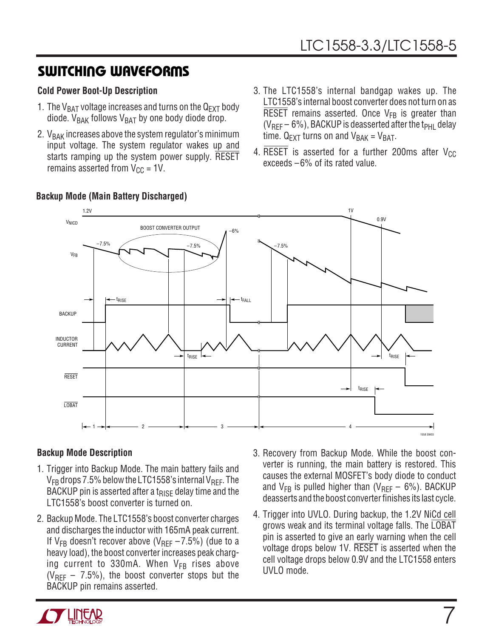## **SWITCHING WAVEFORMS**

### **Cold Power Boot-Up Description**

- 1. The V<sub>BAT</sub> voltage increases and turns on the  $Q_{EXT}$  body diode.  $V_{BAK}$  follows  $V_{BAT}$  by one body diode drop.
- 2.  $V<sub>BAK</sub>$  increases above the system regulator's minimum input voltage. The system regulator wakes up and starts ramping up the system power supply. RESET remains asserted from  $V_{CC} = 1V$ .
- 3. The LTC1558's internal bandgap wakes up. The LTC1558's internal boost converter does not turn on as RESET remains asserted. Once  $V_{FB}$  is greater than  $(V_{REF}-6%)$ , BACKUP is deasserted after the t<sub>PHL</sub> delay time.  $Q_{\text{EXT}}$  turns on and  $V_{\text{BAK}} = V_{\text{BAT}}$ .
- 4. RESET is asserted for a further 200ms after  $V_{CC}$ exceeds –6% of its rated value.



### **Backup Mode (Main Battery Discharged)**

### **Backup Mode Description**

- 1. Trigger into Backup Mode. The main battery fails and  $V_{FB}$  drops 7.5% below the LTC1558's internal  $V_{REF}$ . The BACKUP pin is asserted after a t<sub>RISF</sub> delay time and the LTC1558's boost converter is turned on.
- 2. Backup Mode. The LTC1558's boost converter charges and discharges the inductor with 165mA peak current. If  $V_{FR}$  doesn't recover above (V<sub>RFF</sub>  $-7.5\%$ ) (due to a heavy load), the boost converter increases peak charging current to 330mA. When  $V_{FB}$  rises above  $(V_{\text{RFF}} - 7.5\%)$ , the boost converter stops but the BACKUP pin remains asserted.
- 3. Recovery from Backup Mode. While the boost converter is running, the main battery is restored. This causes the external MOSFET's body diode to conduct and  $V_{FB}$  is pulled higher than ( $V_{REF}$  – 6%). BACKUP deasserts and the boost converter finishes its last cycle.
- 4. Trigger into UVLO. During backup, the 1.2V NiCd cell grows weak and its terminal voltage falls. The LOBAT pin is asserted to give an early warning when the cell voltage drops below 1V. RESET is asserted when the cell voltage drops below 0.9V and the LTC1558 enters UVLO mode.

7

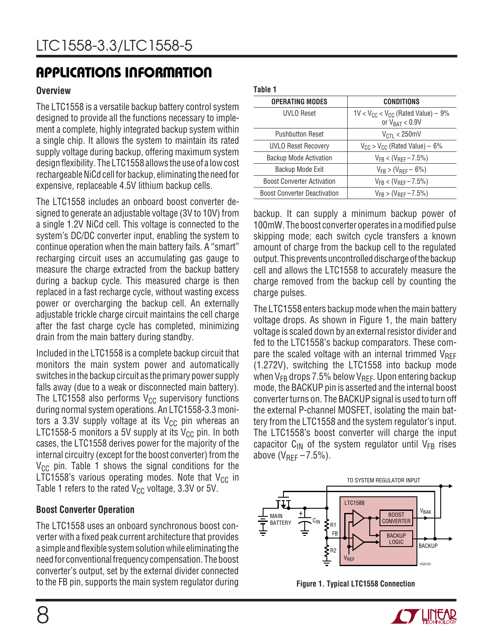### **Overview**

The LTC1558 is a versatile backup battery control system designed to provide all the functions necessary to implement a complete, highly integrated backup system within a single chip. It allows the system to maintain its rated supply voltage during backup, offering maximum system design flexibility. The LTC1558 allows the use of a low cost rechargeable NiCd cell for backup, eliminating the need for expensive, replaceable 4.5V lithium backup cells.

The LTC1558 includes an onboard boost converter designed to generate an adjustable voltage (3V to 10V) from a single 1.2V NiCd cell. This voltage is connected to the system's DC/DC converter input, enabling the system to continue operation when the main battery fails. A "smart" recharging circuit uses an accumulating gas gauge to measure the charge extracted from the backup battery during a backup cycle. This measured charge is then replaced in a fast recharge cycle, without wasting excess power or overcharging the backup cell. An externally adjustable trickle charge circuit maintains the cell charge after the fast charge cycle has completed, minimizing drain from the main battery during standby.

Included in the LTC1558 is a complete backup circuit that monitors the main system power and automatically switches in the backup circuit as the primary power supply falls away (due to a weak or disconnected main battery). The LTC1558 also performs  $V_{CC}$  supervisory functions during normal system operations. An LTC1558-3.3 monitors a 3.3V supply voltage at its  $V_{CC}$  pin whereas an LTC1558-5 monitors a 5V supply at its  $V_{CC}$  pin. In both cases, the LTC1558 derives power for the majority of the internal circuitry (except for the boost converter) from the  $V_{CC}$  pin. Table 1 shows the signal conditions for the LTC1558's various operating modes. Note that  $V_{CC}$  in Table 1 refers to the rated  $V_{CC}$  voltage, 3.3V or 5V.

### **Boost Converter Operation**

The LTC1558 uses an onboard synchronous boost converter with a fixed peak current architecture that provides a simple and flexible system solution while eliminating the need for conventional frequency compensation. The boost converter's output, set by the external divider connected to the FB pin, supports the main system regulator during **Figure 1. Typical LTC1558 Connection**

#### **Table 1**

| <b>CONDITIONS</b>                                                                   |
|-------------------------------------------------------------------------------------|
| $1$ V < V <sub>CC</sub> < V <sub>CC</sub> (Rated Value) – 9%<br>or $V_{BAT} < 0.9V$ |
| $V_{\text{CTI}} < 250 \text{mV}$                                                    |
| $V_{CC}$ > $V_{CC}$ (Rated Value) – 6%                                              |
| $V_{FR}$ < ( $V_{RFF}$ – 7.5%)                                                      |
| $V_{FR}$ > ( $V_{RFF}$ – 6%)                                                        |
| $V_{FR}$ < ( $V_{RFF}$ – 7.5%)                                                      |
| $V_{FR}$ > ( $V_{RFF}$ – 7.5%)                                                      |
|                                                                                     |

backup. It can supply a minimum backup power of 100mW. The boost converter operates in a modified pulse skipping mode; each switch cycle transfers a known amount of charge from the backup cell to the regulated output. This prevents uncontrolled discharge of the backup cell and allows the LTC1558 to accurately measure the charge removed from the backup cell by counting the charge pulses.

The LTC1558 enters backup mode when the main battery voltage drops. As shown in Figure 1, the main battery voltage is scaled down by an external resistor divider and fed to the LTC1558's backup comparators. These compare the scaled voltage with an internal trimmed  $V_{REF}$ (1.272V), switching the LTC1558 into backup mode when  $V_{FB}$  drops 7.5% below  $V_{BF}$ . Upon entering backup mode, the BACKUP pin is asserted and the internal boost converter turns on. The BACKUP signal is used to turn off the external P-channel MOSFET, isolating the main battery from the LTC1558 and the system regulator's input. The LTC1558's boost converter will charge the input capacitor  $C_{IN}$  of the system regulator until  $V_{FB}$  rises above  $(V_{REF}-7.5%)$ .



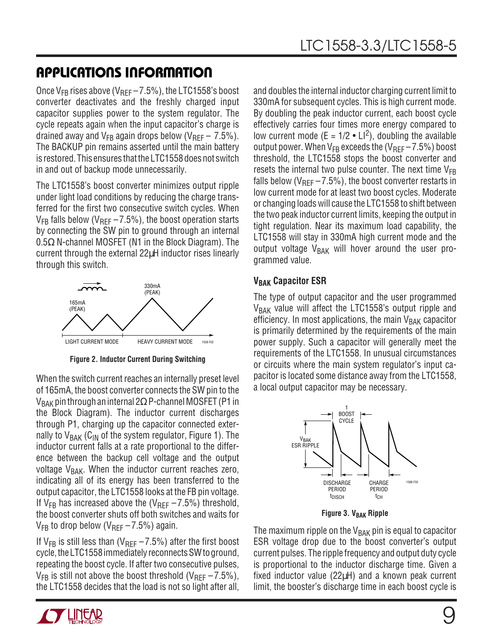Once  $V_{FB}$  rises above ( $V_{BFF}$  – 7.5%), the LTC1558's boost converter deactivates and the freshly charged input capacitor supplies power to the system regulator. The cycle repeats again when the input capacitor's charge is drained away and  $V_{FB}$  again drops below (V<sub>REF</sub> – 7.5%). The BACKUP pin remains asserted until the main battery is restored. This ensures that the LTC1558 does not switch in and out of backup mode unnecessarily.

The LTC1558's boost converter minimizes output ripple under light load conditions by reducing the charge transferred for the first two consecutive switch cycles. When  $V_{FB}$  falls below ( $V_{BFF}$  – 7.5%), the boost operation starts by connecting the SW pin to ground through an internal  $0.5\Omega$  N-channel MOSFET (N1 in the Block Diagram). The current through the external 22µH inductor rises linearly through this switch.



**Figure 2. Inductor Current During Switching**

When the switch current reaches an internally preset level of 165mA, the boost converter connects the SW pin to the  $V_{\rm BAK}$  pin through an internal 2 $\Omega$  P-channel MOSFET (P1 in the Block Diagram). The inductor current discharges through P1, charging up the capacitor connected externally to  $V_{BAK}$  (C<sub>IN</sub> of the system regulator, Figure 1). The inductor current falls at a rate proportional to the difference between the backup cell voltage and the output voltage  $V_{\text{BAK}}$ . When the inductor current reaches zero, indicating all of its energy has been transferred to the output capacitor, the LTC1558 looks at the FB pin voltage. If  $V_{FB}$  has increased above the ( $V_{BFF}$  – 7.5%) threshold, the boost converter shuts off both switches and waits for  $V_{FB}$  to drop below (V<sub>REF</sub>  $-7.5\%$ ) again.

If  $V_{FB}$  is still less than (V<sub>REF</sub>  $-7.5\%$ ) after the first boost cycle, the LTC1558 immediately reconnects SW to ground, repeating the boost cycle. If after two consecutive pulses,  $V_{FB}$  is still not above the boost threshold (V<sub>RFF</sub> – 7.5%), the LTC1558 decides that the load is not so light after all,

and doubles the internal inductor charging current limit to 330mA for subsequent cycles. This is high current mode. By doubling the peak inductor current, each boost cycle effectively carries four times more energy compared to low current mode (E =  $1/2 \cdot Ll^2$ ), doubling the available output power. When  $V_{FB}$  exceeds the ( $V_{BF}$  – 7.5%) boost threshold, the LTC1558 stops the boost converter and resets the internal two pulse counter. The next time  $V_{FB}$ falls below ( $V_{\text{RFF}} - 7.5\%$ ), the boost converter restarts in low current mode for at least two boost cycles. Moderate or changing loads will cause the LTC1558 to shift between the two peak inductor current limits, keeping the output in tight regulation. Near its maximum load capability, the LTC1558 will stay in 330mA high current mode and the output voltage  $V_{\text{RAK}}$  will hover around the user programmed value.

### **V<sub>BAK</sub> Capacitor ESR**

The type of output capacitor and the user programmed  $V_{\text{BAK}}$  value will affect the LTC1558's output ripple and efficiency. In most applications, the main  $V_{\text{BAK}}$  capacitor is primarily determined by the requirements of the main power supply. Such a capacitor will generally meet the requirements of the LTC1558. In unusual circumstances or circuits where the main system regulator's input capacitor is located some distance away from the LTC1558, a local output capacitor may be necessary.



**Figure 3. V<sub>BAK</sub> Ripple** 

The maximum ripple on the  $V_{\text{BAK}}$  pin is equal to capacitor ESR voltage drop due to the boost converter's output current pulses. The ripple frequency and output duty cycle is proportional to the inductor discharge time. Given a fixed inductor value (22µH) and a known peak current limit, the booster's discharge time in each boost cycle is

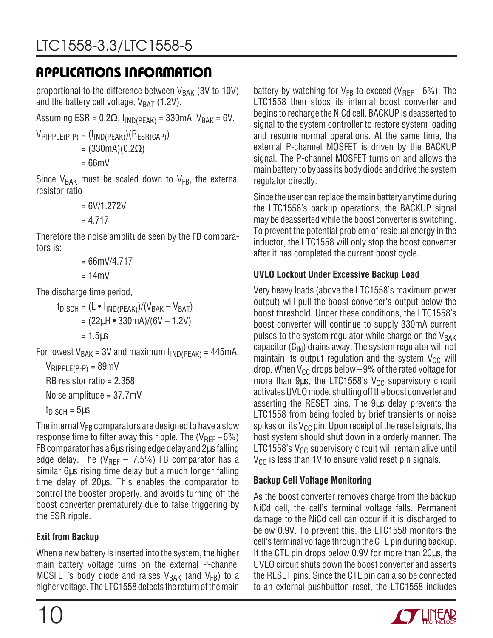proportional to the difference between  $V_{\text{BAK}}$  (3V to 10V) and the battery cell voltage,  $V_{BAT}$  (1.2V).

Assuming ESR =  $0.2\Omega$ ,  $I_{IND(PEAK)} = 330$ mA,  $V_{BAK} = 6V$ ,

 $V_{RIPPLE(P-P)} = (I_{IND(PEAK)})(R_{ESR(CAP)})$ = (330mA)(0.2Ω)

 $= 66$ m $V$ 

Since  $V_{BAK}$  must be scaled down to  $V_{FB}$ , the external resistor ratio

```
= 6V/1.272V= 4.717
```
Therefore the noise amplitude seen by the FB comparators is:

$$
= 66 \text{mV} / 4.717
$$

$$
= 14 \text{mV}
$$

The discharge time period,

 $t_{DISCH} = (L \cdot l_{IND(PFAK)})/(V_{BAK} - V_{BAT})$  $= (22\mu H \cdot 330\text{mA})/(6V - 1.2V)$  $= 1.5<sub>u</sub>$ 

For lowest  $V_{BAK}$  = 3V and maximum  $I_{IND(PEAK)}$  = 445mA,

 $V_{RIPPLE(P-P)} = 89$ mV RB resistor ratio  $= 2.358$ Noise amplitude = 37.7mV

 $t_{DISCH} = 5 \mu s$ 

The internal  $V_{FB}$  comparators are designed to have a slow response time to filter away this ripple. The  $(V_{\text{RFF}}-6\%)$ FB comparator has a 6µs rising edge delay and 2µs falling edge delay. The ( $V_{REF}$  – 7.5%) FB comparator has a similar 6µs rising time delay but a much longer falling time delay of 20µs. This enables the comparator to control the booster properly, and avoids turning off the boost converter prematurely due to false triggering by the ESR ripple.

## **Exit from Backup**

When a new battery is inserted into the system, the higher main battery voltage turns on the external P-channel MOSFET's body diode and raises  $V_{BAK}$  (and  $V_{FB}$ ) to a higher voltage. The LTC1558 detects the return of the main battery by watching for  $V_{FB}$  to exceed (V<sub>REF</sub> –6%). The LTC1558 then stops its internal boost converter and begins to recharge the NiCd cell. BACKUP is deasserted to signal to the system controller to restore system loading and resume normal operations. At the same time, the external P-channel MOSFET is driven by the BACKUP signal. The P-channel MOSFET turns on and allows the main battery to bypass its body diode and drive the system regulator directly.

Since the user can replace the main battery anytime during the LTC1558's backup operations, the BACKUP signal may be deasserted while the boost converter is switching. To prevent the potential problem of residual energy in the inductor, the LTC1558 will only stop the boost converter after it has completed the current boost cycle.

## **UVLO Lockout Under Excessive Backup Load**

Very heavy loads (above the LTC1558's maximum power output) will pull the boost converter's output below the boost threshold. Under these conditions, the LTC1558's boost converter will continue to supply 330mA current pulses to the system regulator while charge on the  $V_{\text{BAK}}$ capacitor  $(C_{IN})$  drains away. The system regulator will not maintain its output regulation and the system  $V_{CC}$  will drop. When  $V_{CG}$  drops below  $-9%$  of the rated voltage for more than  $9\mu s$ , the LTC1558's V<sub>CC</sub> supervisory circuit activates UVLO mode, shutting off the boost converter and asserting the RESET pins. The 9µs delay prevents the LTC1558 from being fooled by brief transients or noise spikes on its  $V_{CC}$  pin. Upon receipt of the reset signals, the host system should shut down in a orderly manner. The LTC1558's  $V_{CC}$  supervisory circuit will remain alive until  $V_{CC}$  is less than 1V to ensure valid reset pin signals.

## **Backup Cell Voltage Monitoring**

As the boost converter removes charge from the backup NiCd cell, the cell's terminal voltage falls. Permanent damage to the NiCd cell can occur if it is discharged to below 0.9V. To prevent this, the LTC1558 monitors the cell's terminal voltage through the CTL pin during backup. If the CTL pin drops below 0.9V for more than 20µs, the UVLO circuit shuts down the boost converter and asserts the RESET pins. Since the CTL pin can also be connected to an external pushbutton reset, the LTC1558 includes

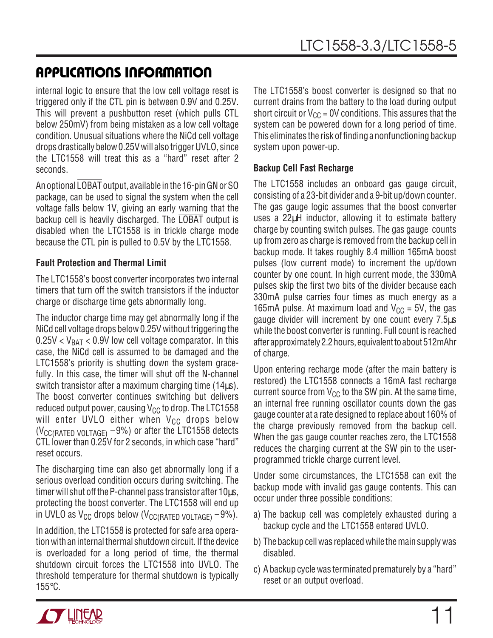internal logic to ensure that the low cell voltage reset is triggered only if the CTL pin is between 0.9V and 0.25V. This will prevent a pushbutton reset (which pulls CTL below 250mV) from being mistaken as a low cell voltage condition. Unusual situations where the NiCd cell voltage drops drastically below 0.25V will also trigger UVLO, since the LTC1558 will treat this as a "hard" reset after 2 seconds.

An optional LOBAT output, available in the 16-pin GN or SO package, can be used to signal the system when the cell voltage falls below 1V, giving an early warning that the backup cell is heavily discharged. The LOBAT output is disabled when the LTC1558 is in trickle charge mode because the CTL pin is pulled to 0.5V by the LTC1558.

### **Fault Protection and Thermal Limit**

The LTC1558's boost converter incorporates two internal timers that turn off the switch transistors if the inductor charge or discharge time gets abnormally long.

The inductor charge time may get abnormally long if the NiCd cell voltage drops below 0.25V without triggering the  $0.25V < V_{BAT} < 0.9V$  low cell voltage comparator. In this case, the NiCd cell is assumed to be damaged and the LTC1558's priority is shutting down the system gracefully. In this case, the timer will shut off the N-channel switch transistor after a maximum charging time (14µs). The boost converter continues switching but delivers reduced output power, causing  $V_{CC}$  to drop. The LTC1558 will enter UVLO either when  $V_{CC}$  drops below ( $V_{\text{CC}(RATED VOLTAGE)} - 9\%$ ) or after the LTC1558 detects CTL lower than 0.25V for 2 seconds, in which case "hard" reset occurs.

The discharging time can also get abnormally long if a serious overload condition occurs during switching. The timer will shut off the P-channel pass transistor after 10µs, protecting the boost converter. The LTC1558 will end up in UVLO as  $V_{CC}$  drops below ( $V_{CC}$ (RATED VOLTAGE) -9%).

In addition, the LTC1558 is protected for safe area operation with an internal thermal shutdown circuit. If the device is overloaded for a long period of time, the thermal shutdown circuit forces the LTC1558 into UVLO. The threshold temperature for thermal shutdown is typically 155°C.

The LTC1558's boost converter is designed so that no current drains from the battery to the load during output short circuit or  $V_{CC}$  = 0V conditions. This assures that the system can be powered down for a long period of time. This eliminates the risk of finding a nonfunctioning backup system upon power-up.

### **Backup Cell Fast Recharge**

The LTC1558 includes an onboard gas gauge circuit, consisting of a 23-bit divider and a 9-bit up/down counter. The gas gauge logic assumes that the boost converter uses a 22µH inductor, allowing it to estimate battery charge by counting switch pulses. The gas gauge counts up from zero as charge is removed from the backup cell in backup mode. It takes roughly 8.4 million 165mA boost pulses (low current mode) to increment the up/down counter by one count. In high current mode, the 330mA pulses skip the first two bits of the divider because each 330mA pulse carries four times as much energy as a 165mA pulse. At maximum load and  $V_{CC}$  = 5V, the gas gauge divider will increment by one count every 7.5µs while the boost converter is running. Full count is reached after approximately 2.2 hours, equivalent to about 512mAhr of charge.

Upon entering recharge mode (after the main battery is restored) the LTC1558 connects a 16mA fast recharge current source from  $V_{CC}$  to the SW pin. At the same time, an internal free running oscillator counts down the gas gauge counter at a rate designed to replace about 160% of the charge previously removed from the backup cell. When the gas gauge counter reaches zero, the LTC1558 reduces the charging current at the SW pin to the userprogrammed trickle charge current level.

Under some circumstances, the LTC1558 can exit the backup mode with invalid gas gauge contents. This can occur under three possible conditions:

- a) The backup cell was completely exhausted during a backup cycle and the LTC1558 entered UVLO.
- b) The backup cell was replaced while the main supply was disabled.
- c) A backup cycle was terminated prematurely by a "hard" reset or an output overload.

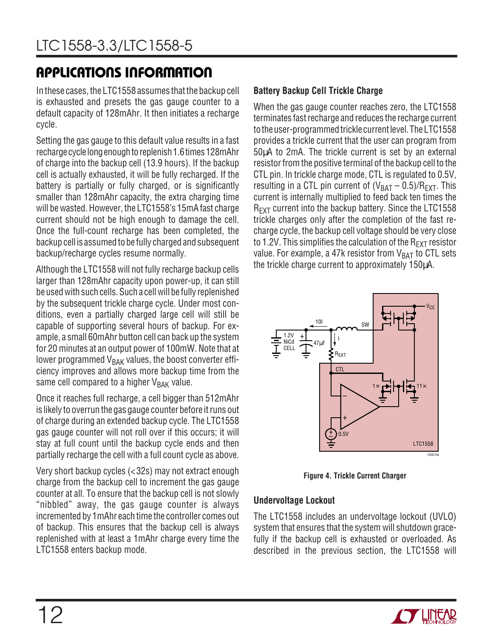In these cases, the LTC1558 assumes that the backup cell is exhausted and presets the gas gauge counter to a default capacity of 128mAhr. It then initiates a recharge cycle.

Setting the gas gauge to this default value results in a fast recharge cycle long enough to replenish 1.6 times 128mAhr of charge into the backup cell (13.9 hours). If the backup cell is actually exhausted, it will be fully recharged. If the battery is partially or fully charged, or is significantly smaller than 128mAhr capacity, the extra charging time will be wasted. However, the LTC1558's 15mA fast charge current should not be high enough to damage the cell. Once the full-count recharge has been completed, the backup cell is assumed to be fully charged and subsequent backup/recharge cycles resume normally.

Although the LTC1558 will not fully recharge backup cells larger than 128mAhr capacity upon power-up, it can still be used with such cells. Such a cell will be fully replenished by the subsequent trickle charge cycle. Under most conditions, even a partially charged large cell will still be capable of supporting several hours of backup. For example, a small 60mAhr button cell can back up the system for 20 minutes at an output power of 100mW. Note that at lower programmed  $V<sub>BAK</sub>$  values, the boost converter efficiency improves and allows more backup time from the same cell compared to a higher  $V_{BAK}$  value.

Once it reaches full recharge, a cell bigger than 512mAhr is likely to overrun the gas gauge counter before it runs out of charge during an extended backup cycle. The LTC1558 gas gauge counter will not roll over if this occurs; it will stay at full count until the backup cycle ends and then partially recharge the cell with a full count cycle as above.

Very short backup cycles (<32s) may not extract enough charge from the backup cell to increment the gas gauge counter at all. To ensure that the backup cell is not slowly "nibbled" away, the gas gauge counter is always incremented by 1mAhr each time the controller comes out of backup. This ensures that the backup cell is always replenished with at least a 1mAhr charge every time the LTC1558 enters backup mode.

### **Battery Backup Cell Trickle Charge**

When the gas gauge counter reaches zero, the LTC1558 terminates fast recharge and reduces the recharge current to the user-programmed trickle current level. The LTC1558 provides a trickle current that the user can program from 50µA to 2mA. The trickle current is set by an external resistor from the positive terminal of the backup cell to the CTL pin. In trickle charge mode, CTL is regulated to 0.5V, resulting in a CTL pin current of  $(V_{BAT} - 0.5)/R_{EXT}$ . This current is internally multiplied to feed back ten times the R<sub>EXT</sub> current into the backup battery. Since the LTC1558 trickle charges only after the completion of the fast recharge cycle, the backup cell voltage should be very close to 1.2V. This simplifies the calculation of the  $R_{EXT}$  resistor value. For example, a 47k resistor from  $V_{BAT}$  to CTL sets the trickle charge current to approximately 150µA.



**Figure 4. Trickle Current Charger**

#### **Undervoltage Lockout**

The LTC1558 includes an undervoltage lockout (UVLO) system that ensures that the system will shutdown gracefully if the backup cell is exhausted or overloaded. As described in the previous section, the LTC1558 will

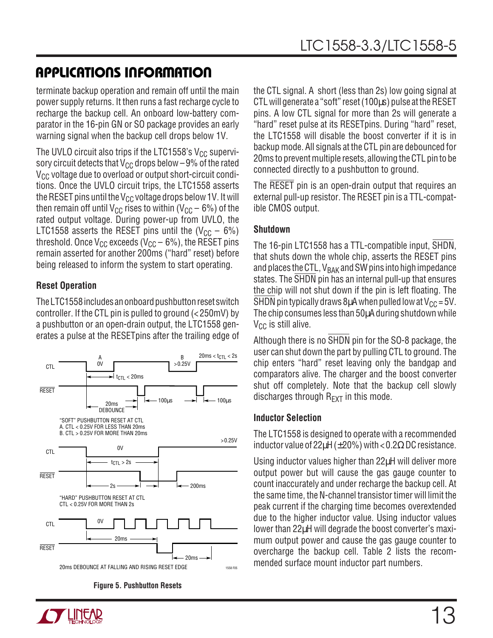terminate backup operation and remain off until the main power supply returns. It then runs a fast recharge cycle to recharge the backup cell. An onboard low-battery comparator in the 16-pin GN or SO package provides an early warning signal when the backup cell drops below 1V.

The UVLO circuit also trips if the LTC1558's  $V_{CC}$  supervisory circuit detects that  $V_{CC}$  drops below  $-9\%$  of the rated  $V_{CC}$  voltage due to overload or output short-circuit conditions. Once the UVLO circuit trips, the LTC1558 asserts the RESET pins until the  $V_{CC}$  voltage drops below 1V. It will then remain off until V<sub>CC</sub> rises to within (V<sub>CC</sub> – 6%) of the rated output voltage. During power-up from UVLO, the LTC1558 asserts the RESET pins until the  $(V_{CC} - 6\%)$ threshold. Once  $V_{CC}$  exceeds ( $V_{CC}$  – 6%), the RESET pins remain asserted for another 200ms ("hard" reset) before being released to inform the system to start operating.

### **Reset Operation**

The LTC1558 includes an onboard pushbutton reset switch controller. If the CTL pin is pulled to ground (< 250mV) by a pushbutton or an open-drain output, the LTC1558 generates a pulse at the RESETpins after the trailing edge of



**Figure 5. Pushbutton Resets**

the CTL signal. A short (less than 2s) low going signal at CTL will generate a "soft" reset (100µs) pulse at the RESET pins. A low CTL signal for more than 2s will generate a "hard" reset pulse at its RESETpins. During "hard" reset, the LTC1558 will disable the boost converter if it is in backup mode. All signals at the CTL pin are debounced for 20ms to prevent multiple resets, allowing the CTL pin to be connected directly to a pushbutton to ground.

The RESET pin is an open-drain output that requires an external pull-up resistor. The RESET pin is a TTL-compatible CMOS output.

### **Shutdown**

The 16-pin LTC1558 has a TTL-compatible input, SHDN, that shuts down the whole chip, asserts the RESET pins and places the CTL,  $V_{BAK}$  and SW pins into high impedance states. The SHDN pin has an internal pull-up that ensures the chip will not shut down if the pin is left floating. The SHDN pin typically draws 8 $\mu$ A when pulled low at V<sub>CC</sub> = 5V. The chip consumes less than 50µA during shutdown while  $V_{CC}$  is still alive.

Although there is no SHDN pin for the SO-8 package, the user can shut down the part by pulling CTL to ground. The chip enters "hard" reset leaving only the bandgap and comparators alive. The charger and the boost converter shut off completely. Note that the backup cell slowly discharges through  $R_{\text{EXT}}$  in this mode.

### **Inductor Selection**

The LTC1558 is designed to operate with a recommended inductor value of 22 $\mu$ H ( $\pm$ 20%) with <0.2 $\Omega$  DC resistance.

Using inductor values higher than 22µH will deliver more output power but will cause the gas gauge counter to count inaccurately and under recharge the backup cell. At the same time, the N-channel transistor timer will limit the peak current if the charging time becomes overextended due to the higher inductor value. Using inductor values lower than 22µH will degrade the boost converter's maximum output power and cause the gas gauge counter to overcharge the backup cell. Table 2 lists the recommended surface mount inductor part numbers.

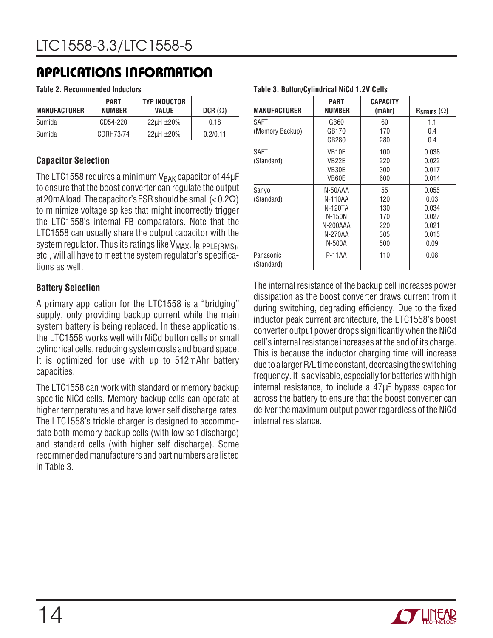#### **Table 2. Recommended Inductors**

| MANUFACTURER | <b>PART</b><br><b>NUMBER</b> | <b>TYP INDUCTOR</b><br>VALUE | DCR $(\Omega)$ |
|--------------|------------------------------|------------------------------|----------------|
| Sumida       | CD54-220                     | $22\mu H \pm 20\%$           | 0.18           |
| Sumida       | CDRH73/74                    | $22\mu H \pm 20\%$           | 0.2/0.11       |

### **Capacitor Selection**

The LTC1558 requires a minimum  $V_{\text{BAK}}$  capacitor of 44 $\mu$ F to ensure that the boost converter can regulate the output at 20mA load. The capacitor's ESR should be small  $(< 0.2 \Omega$ ) to minimize voltage spikes that might incorrectly trigger the LTC1558's internal FB comparators. Note that the LTC1558 can usually share the output capacitor with the system regulator. Thus its ratings like  $V_{MAX}$ ,  $I_{RIPPLE(RMS)}$ , etc., will all have to meet the system regulator's specifications as well.

### **Battery Selection**

A primary application for the LTC1558 is a "bridging" supply, only providing backup current while the main system battery is being replaced. In these applications, the LTC1558 works well with NiCd button cells or small cylindrical cells, reducing system costs and board space. It is optimized for use with up to 512mAhr battery capacities.

The LTC1558 can work with standard or memory backup specific NiCd cells. Memory backup cells can operate at higher temperatures and have lower self discharge rates. The LTC1558's trickle charger is designed to accommodate both memory backup cells (with low self discharge) and standard cells (with higher self discharge). Some recommended manufacturers and part numbers are listed in Table 3.

| Table 3. Button/Cylindrical NiCd 1.2V Cells |                                                                          |                                              |                                                           |
|---------------------------------------------|--------------------------------------------------------------------------|----------------------------------------------|-----------------------------------------------------------|
| <b>MANUFACTURER</b>                         | PART<br><b>NUMBER</b>                                                    | <b>CAPACITY</b><br>(mAhr)                    | $R_{SERIES}(\Omega)$                                      |
| SAFT<br>(Memory Backup)                     | GB60<br>GB170<br>GB280                                                   | 60<br>170<br>280                             | 1.1<br>0.4<br>0.4                                         |
| SAFT<br>(Standard)                          | VB10E<br>VB22E<br>VB30E<br>VB60E                                         | 100<br>220<br>300<br>600                     | 0.038<br>0.022<br>0.017<br>0.014                          |
| Sanyo<br>(Standard)                         | N-50AAA<br>N-110AA<br>N-120TA<br>N-150N<br>N-200AAA<br>N-270AA<br>N-500A | 55<br>120<br>130<br>170<br>220<br>305<br>500 | 0.055<br>0.03<br>0.034<br>0.027<br>0.021<br>0.015<br>0.09 |
| Panasonic<br>(Standard)                     | P-11AA                                                                   | 110                                          | 0.08                                                      |

#### The internal resistance of the backup cell increases power dissipation as the boost converter draws current from it during switching, degrading efficiency. Due to the fixed inductor peak current architecture, the LTC1558's boost converter output power drops significantly when the NiCd cell's internal resistance increases at the end of its charge. This is because the inductor charging time will increase due to a larger R/L time constant, decreasing the switching frequency. It is advisable, especially for batteries with high internal resistance, to include a 47µF bypass capacitor across the battery to ensure that the boost converter can deliver the maximum output power regardless of the NiCd internal resistance.

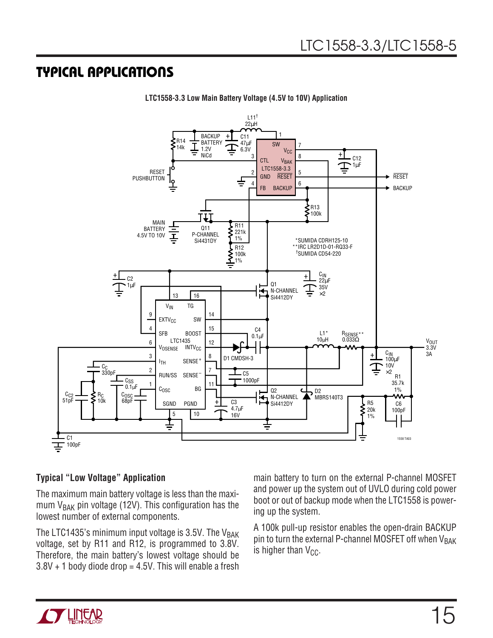## **TYPICAL APPLICATIONS U**



**LTC1558-3.3 Low Main Battery Voltage (4.5V to 10V) Application**

### **Typical "Low Voltage" Application**

The maximum main battery voltage is less than the maximum  $V_{\text{BAK}}$  pin voltage (12V). This configuration has the lowest number of external components.

The LTC1435's minimum input voltage is 3.5V. The  $V_{\text{BAK}}$ voltage, set by R11 and R12, is programmed to 3.8V. Therefore, the main battery's lowest voltage should be  $3.8V + 1$  body diode drop = 4.5V. This will enable a fresh main battery to turn on the external P-channel MOSFET and power up the system out of UVLO during cold power boot or out of backup mode when the LTC1558 is powering up the system.

A 100k pull-up resistor enables the open-drain BACKUP pin to turn the external P-channel MOSFET off when  $V_{\text{BAK}}$ is higher than  $V_{CC}$ .

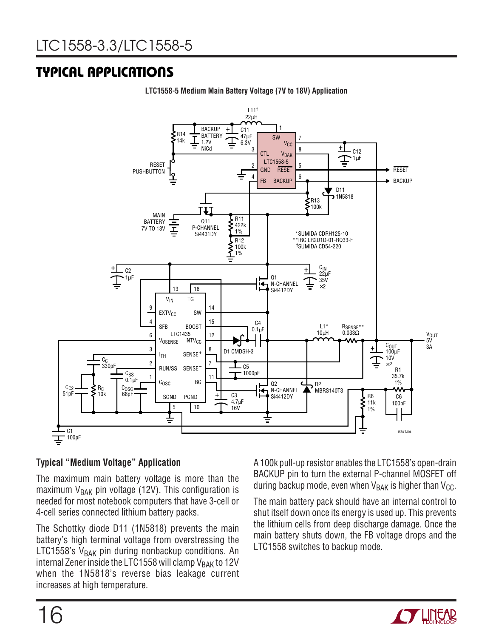# **TYPICAL APPLICATIONS U**



**LTC1558-5 Medium Main Battery Voltage (7V to 18V) Application**

### **Typical "Medium Voltage" Application**

The maximum main battery voltage is more than the maximum  $V_{BAK}$  pin voltage (12V). This configuration is needed for most notebook computers that have 3-cell or 4-cell series connected lithium battery packs.

The Schottky diode D11 (1N5818) prevents the main battery's high terminal voltage from overstressing the LTC1558's  $V_{BAK}$  pin during nonbackup conditions. An internal Zener inside the LTC1558 will clamp  $V_{\rm BAK}$  to 12V when the 1N5818's reverse bias leakage current increases at high temperature.

A 100k pull-up resistor enables the LTC1558's open-drain BACKUP pin to turn the external P-channel MOSFET off during backup mode, even when  $V_{\text{BAK}}$  is higher than  $V_{\text{CC}}$ .

The main battery pack should have an internal control to shut itself down once its energy is used up. This prevents the lithium cells from deep discharge damage. Once the main battery shuts down, the FB voltage drops and the LTC1558 switches to backup mode.

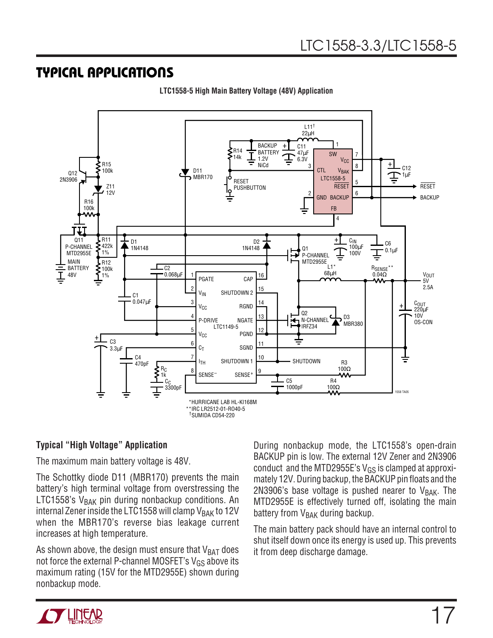## **TYPICAL APPLICATIONS U**



**LTC1558-5 High Main Battery Voltage (48V) Application**

### **Typical "High Voltage" Application**

The maximum main battery voltage is 48V.

The Schottky diode D11 (MBR170) prevents the main battery's high terminal voltage from overstressing the LTC1558's  $V_{BAK}$  pin during nonbackup conditions. An internal Zener inside the LTC1558 will clamp  $V_{\text{BAK}}$  to 12V when the MBR170's reverse bias leakage current increases at high temperature.

As shown above, the design must ensure that  $V_{BAT}$  does not force the external P-channel MOSFET's  $V_{GS}$  above its maximum rating (15V for the MTD2955E) shown during nonbackup mode.

During nonbackup mode, the LTC1558's open-drain BACKUP pin is low. The external 12V Zener and 2N3906 conduct and the MTD2955E's  $V_{GS}$  is clamped at approximately 12V. During backup, the BACKUP pin floats and the 2N3906's base voltage is pushed nearer to  $V_{\text{BAK}}$ . The MTD2955E is effectively turned off, isolating the main battery from  $V_{\text{BAK}}$  during backup.

The main battery pack should have an internal control to shut itself down once its energy is used up. This prevents it from deep discharge damage.

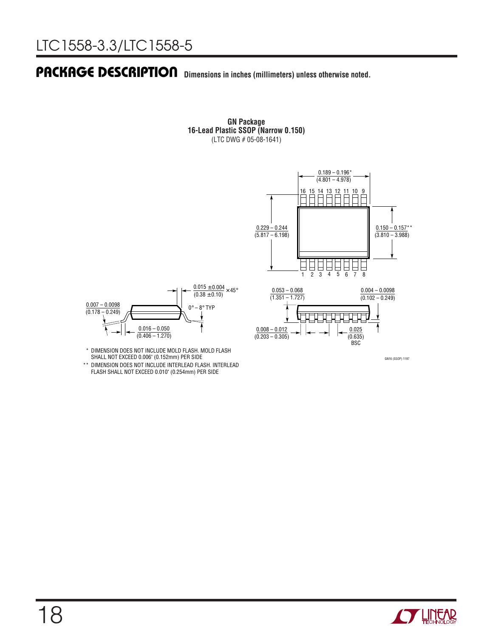## **PACKAGE DESCRIPTION U Dimensions in inches (millimeters) unless otherwise noted.**

**GN Package 16-Lead Plastic SSOP (Narrow 0.150)** (LTC DWG # 05-08-1641)





\* DIMENSION DOES NOT INCLUDE MOLD FLASH. MOLD FLASH SHALL NOT EXCEED 0.006" (0.152mm) PER SIDE

\*\* DIMENSION DOES NOT INCLUDE INTERLEAD FLASH. INTERLEAD FLASH SHALL NOT EXCEED 0.010" (0.254mm) PER SIDE



GN16 (SSOP) 1197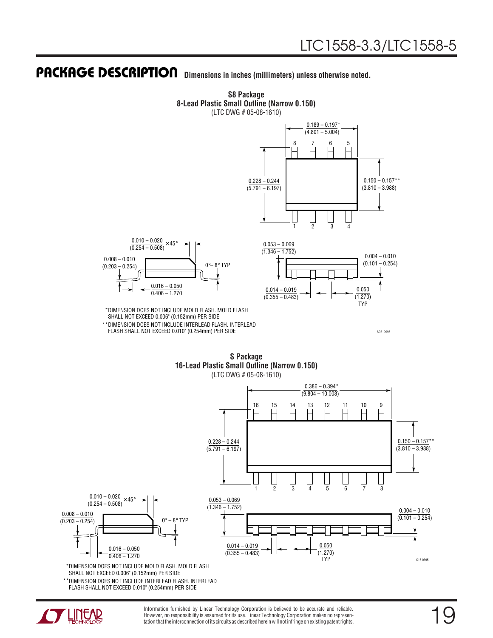## **PACKAGE DESCRIPTION U Dimensions in inches (millimeters) unless otherwise noted.**



**S8 Package 8-Lead Plastic Small Outline (Narrow 0.150)**

SO8 0996

**S Package 16-Lead Plastic Small Outline (Narrow 0.150)** (LTC DWG # 05-08-1610)

FLASH SHALL NOT EXCEED 0.010" (0.254mm) PER SIDE



SHALL NOT EXCEED 0.006" (0.152mm) PER SIDE

DIMENSION DOES NOT INCLUDE INTERLEAD FLASH. INTERLEAD \*\* FLASH SHALL NOT EXCEED 0.010" (0.254mm) PER SIDE



Information furnished by Linear Technology Corporation is believed to be accurate and reliable. However, no responsibility is assumed for its use. Linear Technology Corporation makes no representation that the interconnection of its circuits as described herein will not infringe on existing patent rights.